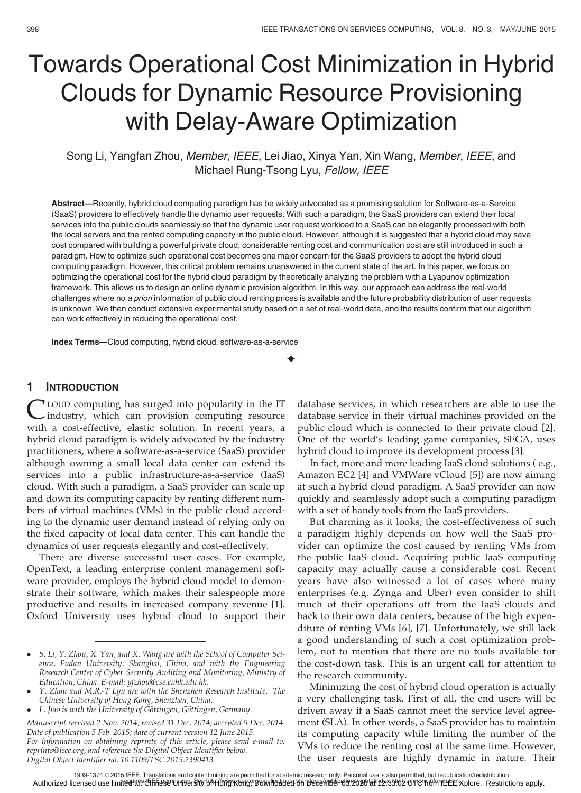# Towards Operational Cost Minimization in Hybrid Clouds for Dynamic Resource Provisioning with Delay-Aware Optimization

Song Li, Yangfan Zhou, Member, IEEE, Lei Jiao, Xinya Yan, Xin Wang, Member, IEEE, and Michael Rung-Tsong Lyu, Fellow, IEEE

Abstract—Recently, hybrid cloud computing paradigm has be widely advocated as a promising solution for Software-as-a-Service (SaaS) providers to effectively handle the dynamic user requests. With such a paradigm, the SaaS providers can extend their local services into the public clouds seamlessly so that the dynamic user request workload to a SaaS can be elegantly processed with both the local servers and the rented computing capacity in the public cloud. However, although it is suggested that a hybrid cloud may save cost compared with building a powerful private cloud, considerable renting cost and communication cost are still introduced in such a paradigm. How to optimize such operational cost becomes one major concern for the SaaS providers to adopt the hybrid cloud computing paradigm. However, this critical problem remains unanswered in the current state of the art. In this paper, we focus on optimizing the operational cost for the hybrid cloud paradigm by theoretically analyzing the problem with a Lyapunov optimization framework. This allows us to design an online dynamic provision algorithm. In this way, our approach can address the real-world challenges where no a priori information of public cloud renting prices is available and the future probability distribution of user requests is unknown. We then conduct extensive experimental study based on a set of real-world data, and the results confirm that our algorithm can work effectively in reducing the operational cost.

 $\bigstar$ 

Index Terms—Cloud computing, hybrid cloud, software-as-a-service

# 1 INTRODUCTION

CLOUD computing has surged into popularity in the IT<br>industry, which can provision computing resource<br>with a sect offective election selection. In general weaver with a cost-effective, elastic solution. In recent years, a hybrid cloud paradigm is widely advocated by the industry practitioners, where a software-as-a-service (SaaS) provider although owning a small local data center can extend its services into a public infrastructure-as-a-service (IaaS) cloud. With such a paradigm, a SaaS provider can scale up and down its computing capacity by renting different numbers of virtual machines (VMs) in the public cloud according to the dynamic user demand instead of relying only on the fixed capacity of local data center. This can handle the dynamics of user requests elegantly and cost-effectively.

There are diverse successful user cases. For example, OpenText, a leading enterprise content management software provider, employs the hybrid cloud model to demonstrate their software, which makes their salespeople more productive and results in increased company revenue [1]. Oxford University uses hybrid cloud to support their

Manuscript received 2 Nov. 2014; revised 31 Dec. 2014; accepted 5 Dec. 2014. Date of publication 5 Feb. 2015; date of current version 12 June 2015. For information on obtaining reprints of this article, please send e-mail to: reprints@ieee.org, and reference the Digital Object Identifier below. Digital Object Identifier no. 10.1109/TSC.2015.2390413

database services, in which researchers are able to use the database service in their virtual machines provided on the public cloud which is connected to their private cloud [2]. One of the world's leading game companies, SEGA, uses hybrid cloud to improve its development process [3].

In fact, more and more leading IaaS cloud solutions ( e.g., Amazon EC2 [4] and VMWare vCloud [5]) are now aiming at such a hybrid cloud paradigm. A SaaS provider can now quickly and seamlessly adopt such a computing paradigm with a set of handy tools from the IaaS providers.

But charming as it looks, the cost-effectiveness of such a paradigm highly depends on how well the SaaS provider can optimize the cost caused by renting VMs from the public IaaS cloud. Acquiring public IaaS computing capacity may actually cause a considerable cost. Recent years have also witnessed a lot of cases where many enterprises (e.g. Zynga and Uber) even consider to shift much of their operations off from the IaaS clouds and back to their own data centers, because of the high expenditure of renting VMs [6], [7]. Unfortunately, we still lack a good understanding of such a cost optimization problem, not to mention that there are no tools available for the cost-down task. This is an urgent call for attention to the research community.

Minimizing the cost of hybrid cloud operation is actually a very challenging task. First of all, the end users will be driven away if a SaaS cannot meet the service level agreement (SLA). In other words, a SaaS provider has to maintain its computing capacity while limiting the number of the VMs to reduce the renting cost at the same time. However, the user requests are highly dynamic in nature. Their

S. Li, Y. Zhou, X. Yan, and X. Wang are with the School of Computer Science, Fudan University, Shanghai, China, and with the Engineering Research Center of Cyber Security Auditing and Monitoring, Ministry of Education, China. E-mail: yfzhou@cse.cuhk.edu.hk.

Y. Zhou and M.R.-T Lyu are with the Shenzhen Research Institute, The Chinese University of Hong Kong, Shenzhen, China.

L. Jiao is with the University of Göttingen, Göttingen, Germany.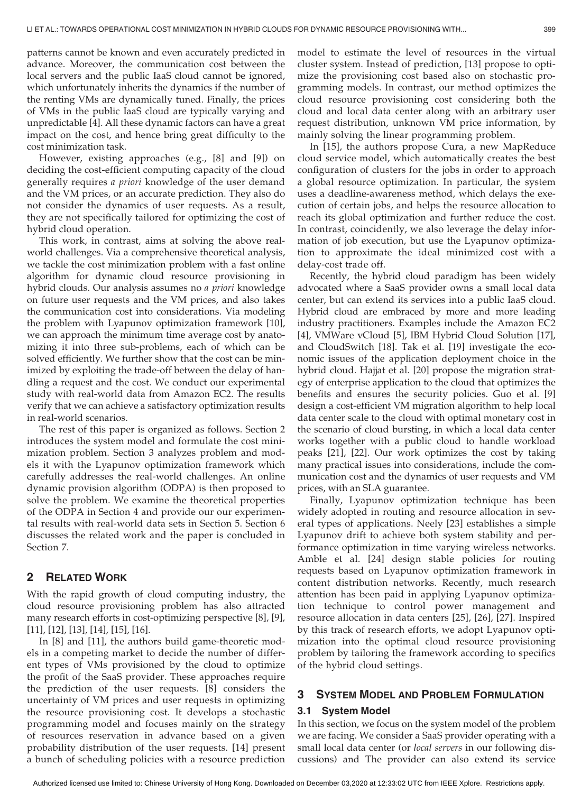patterns cannot be known and even accurately predicted in advance. Moreover, the communication cost between the local servers and the public IaaS cloud cannot be ignored, which unfortunately inherits the dynamics if the number of the renting VMs are dynamically tuned. Finally, the prices of VMs in the public IaaS cloud are typically varying and unpredictable [4]. All these dynamic factors can have a great impact on the cost, and hence bring great difficulty to the cost minimization task.

However, existing approaches (e.g., [8] and [9]) on deciding the cost-efficient computing capacity of the cloud generally requires a priori knowledge of the user demand and the VM prices, or an accurate prediction. They also do not consider the dynamics of user requests. As a result, they are not specifically tailored for optimizing the cost of hybrid cloud operation.

This work, in contrast, aims at solving the above realworld challenges. Via a comprehensive theoretical analysis, we tackle the cost minimization problem with a fast online algorithm for dynamic cloud resource provisioning in hybrid clouds. Our analysis assumes no a priori knowledge on future user requests and the VM prices, and also takes the communication cost into considerations. Via modeling the problem with Lyapunov optimization framework [10], we can approach the minimum time average cost by anatomizing it into three sub-problems, each of which can be solved efficiently. We further show that the cost can be minimized by exploiting the trade-off between the delay of handling a request and the cost. We conduct our experimental study with real-world data from Amazon EC2. The results verify that we can achieve a satisfactory optimization results in real-world scenarios.

The rest of this paper is organized as follows. Section 2 introduces the system model and formulate the cost minimization problem. Section 3 analyzes problem and models it with the Lyapunov optimization framework which carefully addresses the real-world challenges. An online dynamic provision algorithm (ODPA) is then proposed to solve the problem. We examine the theoretical properties of the ODPA in Section 4 and provide our our experimental results with real-world data sets in Section 5. Section 6 discusses the related work and the paper is concluded in Section 7.

# 2 RELATED WORK

With the rapid growth of cloud computing industry, the cloud resource provisioning problem has also attracted many research efforts in cost-optimizing perspective [8], [9], [11], [12], [13], [14], [15], [16].

In [8] and [11], the authors build game-theoretic models in a competing market to decide the number of different types of VMs provisioned by the cloud to optimize the profit of the SaaS provider. These approaches require the prediction of the user requests. [8] considers the uncertainty of VM prices and user requests in optimizing the resource provisioning cost. It develops a stochastic programming model and focuses mainly on the strategy of resources reservation in advance based on a given probability distribution of the user requests. [14] present a bunch of scheduling policies with a resource prediction model to estimate the level of resources in the virtual cluster system. Instead of prediction, [13] propose to optimize the provisioning cost based also on stochastic programming models. In contrast, our method optimizes the cloud resource provisioning cost considering both the cloud and local data center along with an arbitrary user request distribution, unknown VM price information, by mainly solving the linear programming problem.

In [15], the authors propose Cura, a new MapReduce cloud service model, which automatically creates the best configuration of clusters for the jobs in order to approach a global resource optimization. In particular, the system uses a deadline-awareness method, which delays the execution of certain jobs, and helps the resource allocation to reach its global optimization and further reduce the cost. In contrast, coincidently, we also leverage the delay information of job execution, but use the Lyapunov optimization to approximate the ideal minimized cost with a delay-cost trade off.

Recently, the hybrid cloud paradigm has been widely advocated where a SaaS provider owns a small local data center, but can extend its services into a public IaaS cloud. Hybrid cloud are embraced by more and more leading industry practitioners. Examples include the Amazon EC2 [4], VMWare vCloud [5], IBM Hybrid Cloud Solution [17], and CloudSwitch [18]. Tak et al. [19] investigate the economic issues of the application deployment choice in the hybrid cloud. Hajjat et al. [20] propose the migration strategy of enterprise application to the cloud that optimizes the benefits and ensures the security policies. Guo et al. [9] design a cost-efficient VM migration algorithm to help local data center scale to the cloud with optimal monetary cost in the scenario of cloud bursting, in which a local data center works together with a public cloud to handle workload peaks [21], [22]. Our work optimizes the cost by taking many practical issues into considerations, include the communication cost and the dynamics of user requests and VM prices, with an SLA guarantee.

Finally, Lyapunov optimization technique has been widely adopted in routing and resource allocation in several types of applications. Neely [23] establishes a simple Lyapunov drift to achieve both system stability and performance optimization in time varying wireless networks. Amble et al. [24] design stable policies for routing requests based on Lyapunov optimization framework in content distribution networks. Recently, much research attention has been paid in applying Lyapunov optimization technique to control power management and resource allocation in data centers [25], [26], [27]. Inspired by this track of research efforts, we adopt Lyapunov optimization into the optimal cloud resource provisioning problem by tailoring the framework according to specifics of the hybrid cloud settings.

# 3 SYSTEM MODEL AND PROBLEM FORMULATION

# 3.1 System Model

In this section, we focus on the system model of the problem we are facing. We consider a SaaS provider operating with a small local data center (or *local servers* in our following discussions) and The provider can also extend its service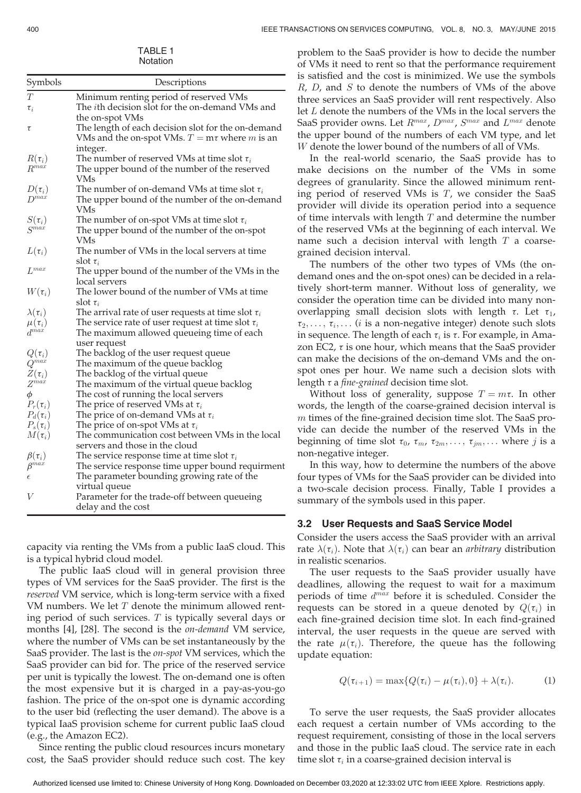| TABLE 1  |  |
|----------|--|
| Notation |  |

| Symbols                  | Descriptions                                                                                               |  |  |  |  |  |
|--------------------------|------------------------------------------------------------------------------------------------------------|--|--|--|--|--|
| Т                        | Minimum renting period of reserved VMs                                                                     |  |  |  |  |  |
| $\tau_i$                 | The <i>i</i> th decision slot for the on-demand VMs and                                                    |  |  |  |  |  |
|                          | the on-spot VMs                                                                                            |  |  |  |  |  |
| τ                        | The length of each decision slot for the on-demand<br>VMs and the on-spot VMs. $T = m\tau$ where m is an   |  |  |  |  |  |
|                          | integer.                                                                                                   |  |  |  |  |  |
| $R(\tau_i)$<br>$R^{max}$ | The number of reserved VMs at time slot $\tau_i$<br>The upper bound of the number of the reserved<br>VMs   |  |  |  |  |  |
| $D(\tau_i)$<br>$D^{max}$ | The number of on-demand VMs at time slot $\tau_i$<br>The upper bound of the number of the on-demand<br>VMs |  |  |  |  |  |
| $S(\tau_i)$              | The number of on-spot VMs at time slot $\tau_i$                                                            |  |  |  |  |  |
| $S^{\hat{max}}$          | The upper bound of the number of the on-spot<br>VMs                                                        |  |  |  |  |  |
| $L(\tau_i)$              | The number of VMs in the local servers at time<br>slot $\tau_i$                                            |  |  |  |  |  |
| $L^{max}$                | The upper bound of the number of the VMs in the<br>local servers                                           |  |  |  |  |  |
| $W(\tau_i)$              | The lower bound of the number of VMs at time<br>slot $\tau_i$                                              |  |  |  |  |  |
| $\lambda(\tau_i)$        | The arrival rate of user requests at time slot $\tau_i$                                                    |  |  |  |  |  |
| $\mu(\tau_i)$            | The service rate of user request at time slot $\tau_i$                                                     |  |  |  |  |  |
| $d^{max}$                | The maximum allowed queueing time of each                                                                  |  |  |  |  |  |
| $Q(\tau_i)$<br>$Q^{max}$ | user request<br>The backlog of the user request queue<br>The maximum of the queue backlog                  |  |  |  |  |  |
| $Z(\tau_i)$              | The backlog of the virtual queue                                                                           |  |  |  |  |  |
| $Z^{max}$                | The maximum of the virtual queue backlog                                                                   |  |  |  |  |  |
| φ                        | The cost of running the local servers                                                                      |  |  |  |  |  |
| $P_r(\tau_i)$            | The price of reserved VMs at $\tau_i$                                                                      |  |  |  |  |  |
| $P_d(\tau_i)$            | The price of on-demand VMs at $\tau_i$                                                                     |  |  |  |  |  |
| $P_s(\tau_i)$            | The price of on-spot VMs at $\tau_i$                                                                       |  |  |  |  |  |
| $M(\tau_i)$              | The communication cost between VMs in the local<br>servers and those in the cloud                          |  |  |  |  |  |
| $\beta(\tau_i)$          | The service response time at time slot $\tau_i$                                                            |  |  |  |  |  |
| $\beta^{max}$            | The service response time upper bound requirment                                                           |  |  |  |  |  |
|                          | The parameter bounding growing rate of the                                                                 |  |  |  |  |  |
| V                        | virtual queue<br>Parameter for the trade-off between queueing                                              |  |  |  |  |  |
|                          | delay and the cost                                                                                         |  |  |  |  |  |

capacity via renting the VMs from a public IaaS cloud. This is a typical hybrid cloud model.

The public IaaS cloud will in general provision three types of VM services for the SaaS provider. The first is the reserved VM service, which is long-term service with a fixed VM numbers. We let  $T$  denote the minimum allowed renting period of such services.  $T$  is typically several days or months [4], [28]. The second is the on-demand VM service, where the number of VMs can be set instantaneously by the SaaS provider. The last is the on-spot VM services, which the SaaS provider can bid for. The price of the reserved service per unit is typically the lowest. The on-demand one is often the most expensive but it is charged in a pay-as-you-go fashion. The price of the on-spot one is dynamic according to the user bid (reflecting the user demand). The above is a typical IaaS provision scheme for current public IaaS cloud (e.g., the Amazon EC2).

Since renting the public cloud resources incurs monetary cost, the SaaS provider should reduce such cost. The key

problem to the SaaS provider is how to decide the number of VMs it need to rent so that the performance requirement is satisfied and the cost is minimized. We use the symbols  $R$ ,  $D$ , and  $S$  to denote the numbers of VMs of the above three services an SaaS provider will rent respectively. Also let L denote the numbers of the VMs in the local servers the SaaS provider owns. Let  $R^{max}$ ,  $D^{max}$ ,  $S^{max}$  and  $L^{max}$  denote the upper bound of the numbers of each VM type, and let W denote the lower bound of the numbers of all of VMs.

In the real-world scenario, the SaaS provide has to make decisions on the number of the VMs in some degrees of granularity. Since the allowed minimum renting period of reserved VMs is  $T$ , we consider the SaaS provider will divide its operation period into a sequence of time intervals with length  $T$  and determine the number of the reserved VMs at the beginning of each interval. We name such a decision interval with length  $T$  a coarsegrained decision interval.

The numbers of the other two types of VMs (the ondemand ones and the on-spot ones) can be decided in a relatively short-term manner. Without loss of generality, we consider the operation time can be divided into many nonoverlapping small decision slots with length  $\tau$ . Let  $\tau_1$ ,  $\tau_2, \ldots, \tau_i, \ldots$  (*i* is a non-negative integer) denote such slots in sequence. The length of each  $\tau_i$  is  $\tau$ . For example, in Amazon EC2,  $\tau$  is one hour, which means that the SaaS provider can make the decisions of the on-demand VMs and the onspot ones per hour. We name such a decision slots with length  $\tau$  a *fine-grained* decision time slot.

Without loss of generality, suppose  $T = m\tau$ . In other words, the length of the coarse-grained decision interval is  $m$  times of the fine-grained decision time slot. The SaaS provide can decide the number of the reserved VMs in the beginning of time slot  $\tau_0$ ,  $\tau_m$ ,  $\tau_{2m}, \ldots, \tau_{jm}, \ldots$  where j is a non-negative integer.

In this way, how to determine the numbers of the above four types of VMs for the SaaS provider can be divided into a two-scale decision process. Finally, Table I provides a summary of the symbols used in this paper.

# 3.2 User Requests and SaaS Service Model

Consider the users access the SaaS provider with an arrival rate  $\lambda(\tau_i)$ . Note that  $\lambda(\tau_i)$  can bear an *arbitrary* distribution in realistic scenarios.

The user requests to the SaaS provider usually have deadlines, allowing the request to wait for a maximum periods of time  $d^{max}$  before it is scheduled. Consider the requests can be stored in a queue denoted by  $Q(\tau_i)$  in each fine-grained decision time slot. In each find-grained interval, the user requests in the queue are served with the rate  $\mu(\tau_i)$ . Therefore, the queue has the following update equation:

$$
Q(\tau_{i+1}) = \max\{Q(\tau_i) - \mu(\tau_i), 0\} + \lambda(\tau_i). \tag{1}
$$

To serve the user requests, the SaaS provider allocates each request a certain number of VMs according to the request requirement, consisting of those in the local servers and those in the public IaaS cloud. The service rate in each time slot  $\tau_i$  in a coarse-grained decision interval is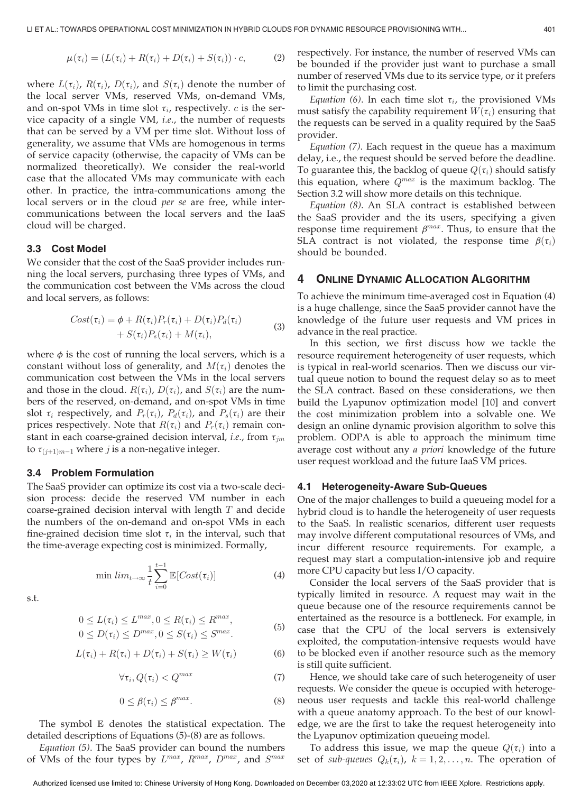$$
\mu(\tau_i) = (L(\tau_i) + R(\tau_i) + D(\tau_i) + S(\tau_i)) \cdot c,\tag{2}
$$

where  $L(\tau_i)$ ,  $R(\tau_i)$ ,  $D(\tau_i)$ , and  $S(\tau_i)$  denote the number of the local server VMs, reserved VMs, on-demand VMs, and on-spot VMs in time slot  $\tau_i$ , respectively. c is the service capacity of a single VM, i.e., the number of requests that can be served by a VM per time slot. Without loss of generality, we assume that VMs are homogenous in terms of service capacity (otherwise, the capacity of VMs can be normalized theoretically). We consider the real-world case that the allocated VMs may communicate with each other. In practice, the intra-communications among the local servers or in the cloud per se are free, while intercommunications between the local servers and the IaaS cloud will be charged.

# 3.3 Cost Model

We consider that the cost of the SaaS provider includes running the local servers, purchasing three types of VMs, and the communication cost between the VMs across the cloud and local servers, as follows:

$$
Cost(\tau_i) = \phi + R(\tau_i)P_r(\tau_i) + D(\tau_i)P_d(\tau_i)
$$
  
+  $S(\tau_i)P_s(\tau_i) + M(\tau_i)$ , (3)

where  $\phi$  is the cost of running the local servers, which is a constant without loss of generality, and  $M(\tau_i)$  denotes the communication cost between the VMs in the local servers and those in the cloud.  $R(\tau_i)$ ,  $D(\tau_i)$ , and  $S(\tau_i)$  are the numbers of the reserved, on-demand, and on-spot VMs in time slot  $\tau_i$  respectively, and  $P_r(\tau_i)$ ,  $P_d(\tau_i)$ , and  $P_s(\tau_i)$  are their prices respectively. Note that  $R(\tau_i)$  and  $P_r(\tau_i)$  remain constant in each coarse-grained decision interval, *i.e.*, from  $\tau_{jm}$ to  $\tau_{(i+1)m-1}$  where *j* is a non-negative integer.

# 3.4 Problem Formulation

The SaaS provider can optimize its cost via a two-scale decision process: decide the reserved VM number in each coarse-grained decision interval with length  $T$  and decide the numbers of the on-demand and on-spot VMs in each fine-grained decision time slot  $\tau_i$  in the interval, such that the time-average expecting cost is minimized. Formally,

$$
\quad \text{s.t.} \quad
$$

$$
\min\lim_{t\to\infty}\frac{1}{t}\sum_{i=0}^{t-1}\mathbb{E}[Cost(\tau_i)]\tag{4}
$$

$$
0 \le L(\tau_i) \le L^{max}, 0 \le R(\tau_i) \le R^{max},
$$
  
\n
$$
0 \le D(\tau_i) \le D^{max}, 0 \le S(\tau_i) \le S^{max}.
$$
\n(5)

$$
L(\tau_i) + R(\tau_i) + D(\tau_i) + S(\tau_i) \ge W(\tau_i)
$$
 (6)

$$
\forall \tau_i, Q(\tau_i) < Q^{max} \tag{7}
$$

$$
0 \le \beta(\tau_i) \le \beta^{max}.\tag{8}
$$

The symbol  $E$  denotes the statistical expectation. The detailed descriptions of Equations (5)-(8) are as follows.

Equation (5). The SaaS provider can bound the numbers of VMs of the four types by  $L^{max}$ ,  $R^{max}$ ,  $D^{max}$ , and  $S^{max}$ 

respectively. For instance, the number of reserved VMs can be bounded if the provider just want to purchase a small number of reserved VMs due to its service type, or it prefers to limit the purchasing cost.

*Equation* (6). In each time slot  $\tau_i$ , the provisioned VMs must satisfy the capability requirement  $W(\tau_i)$  ensuring that the requests can be served in a quality required by the SaaS provider.

Equation (7). Each request in the queue has a maximum delay, i.e., the request should be served before the deadline. To guarantee this, the backlog of queue  $Q(\tau_i)$  should satisfy this equation, where  $Q^{max}$  is the maximum backlog. The Section 3.2 will show more details on this technique.

Equation (8). An SLA contract is established between the SaaS provider and the its users, specifying a given response time requirement  $\beta^{max}$ . Thus, to ensure that the SLA contract is not violated, the response time  $\beta(\tau_i)$ should be bounded.

# 4 ONLINE DYNAMIC ALLOCATION ALGORITHM

To achieve the minimum time-averaged cost in Equation (4) is a huge challenge, since the SaaS provider cannot have the knowledge of the future user requests and VM prices in advance in the real practice.

In this section, we first discuss how we tackle the resource requirement heterogeneity of user requests, which is typical in real-world scenarios. Then we discuss our virtual queue notion to bound the request delay so as to meet the SLA contract. Based on these considerations, we then build the Lyapunov optimization model [10] and convert the cost minimization problem into a solvable one. We design an online dynamic provision algorithm to solve this problem. ODPA is able to approach the minimum time average cost without any a priori knowledge of the future user request workload and the future IaaS VM prices.

# 4.1 Heterogeneity-Aware Sub-Queues

One of the major challenges to build a queueing model for a hybrid cloud is to handle the heterogeneity of user requests to the SaaS. In realistic scenarios, different user requests may involve different computational resources of VMs, and incur different resource requirements. For example, a request may start a computation-intensive job and require more CPU capacity but less I/O capacity.

Consider the local servers of the SaaS provider that is typically limited in resource. A request may wait in the queue because one of the resource requirements cannot be entertained as the resource is a bottleneck. For example, in case that the CPU of the local servers is extensively exploited, the computation-intensive requests would have to be blocked even if another resource such as the memory is still quite sufficient.

Hence, we should take care of such heterogeneity of user requests. We consider the queue is occupied with heterogeneous user requests and tackle this real-world challenge with a queue anatomy approach. To the best of our knowledge, we are the first to take the request heterogeneity into the Lyapunov optimization queueing model.

To address this issue, we map the queue  $Q(\tau_i)$  into a set of sub-queues  $Q_k(\tau_i)$ ,  $k = 1, 2, \ldots, n$ . The operation of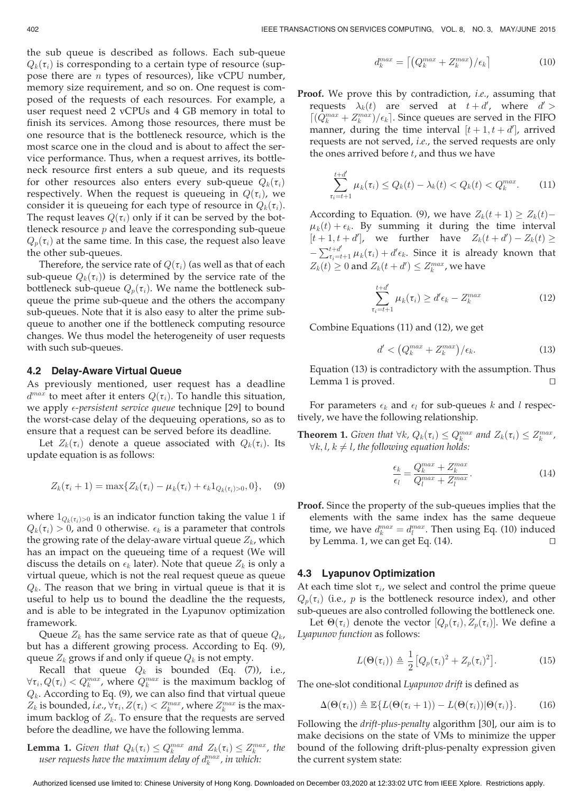the sub queue is described as follows. Each sub-queue  $Q_k(\tau_i)$  is corresponding to a certain type of resource (suppose there are  $n$  types of resources), like vCPU number, memory size requirement, and so on. One request is composed of the requests of each resources. For example, a user request need 2 vCPUs and 4 GB memory in total to finish its services. Among those resources, there must be one resource that is the bottleneck resource, which is the most scarce one in the cloud and is about to affect the service performance. Thus, when a request arrives, its bottleneck resource first enters a sub queue, and its requests for other resources also enters every sub-queue  $Q_k(\tau_i)$ respectively. When the request is queueing in  $Q(\tau_i)$ , we consider it is queueing for each type of resource in  $Q_k(\tau_i)$ . The requst leaves  $Q(\tau_i)$  only if it can be served by the bottleneck resource  $p$  and leave the corresponding sub-queue  $Q_p(\tau_i)$  at the same time. In this case, the request also leave the other sub-queues.

Therefore, the service rate of  $Q(\tau_i)$  (as well as that of each sub-queue  $Q_k(\tau_i)$  is determined by the service rate of the bottleneck sub-queue  $Q_p(\tau_i)$ . We name the bottleneck subqueue the prime sub-queue and the others the accompany sub-queues. Note that it is also easy to alter the prime subqueue to another one if the bottleneck computing resource changes. We thus model the heterogeneity of user requests with such sub-queues.

# 4.2 Delay-Aware Virtual Queue

As previously mentioned, user request has a deadline  $d^{max}$  to meet after it enters  $Q(\tau_i)$ . To handle this situation, we apply  $\epsilon$ -persistent service queue technique [29] to bound the worst-case delay of the dequeuing operations, so as to ensure that a request can be served before its deadline.

Let  $Z_k(\tau_i)$  denote a queue associated with  $Q_k(\tau_i)$ . Its update equation is as follows:

$$
Z_k(\tau_i + 1) = \max\{Z_k(\tau_i) - \mu_k(\tau_i) + \epsilon_k 1_{Q_k(\tau_i) > 0}, 0\}, \quad (9)
$$

where  $1_{Q_k(\tau_i)>0}$  is an indicator function taking the value 1 if  $Q_k(\tau_i) > 0$ , and 0 otherwise.  $\epsilon_k$  is a parameter that controls the growing rate of the delay-aware virtual queue  $Z_k$ , which has an impact on the queueing time of a request (We will discuss the details on  $\epsilon_k$  later). Note that queue  $Z_k$  is only a virtual queue, which is not the real request queue as queue  $Q_k$ . The reason that we bring in virtual queue is that it is useful to help us to bound the deadline the the requests, and is able to be integrated in the Lyapunov optimization framework.

Queue  $Z_k$  has the same service rate as that of queue  $Q_k$ , but has a different growing process. According to Eq. (9), queue  $Z_k$  grows if and only if queue  $Q_k$  is not empty.

Recall that queue  $Q_k$  is bounded (Eq. (7)), i.e.,  $\forall \tau_i, Q(\tau_i) < Q_k^{max}$ , where  $Q_k^{max}$  is the maximum backlog of  $Q_k$ . According to Eq. (9), we can also find that virtual queue  $Z_k$  is bounded, *i.e.*,  $\forall \tau_i, Z(\tau_i) < Z_k^{max}$ , where  $Z_k^{max}$  is the maximum backlog of  $Z_k$ . To ensure that the requests are served before the deadline, we have the following lemma.

**Lemma 1.** Given that  $Q_k(\tau_i) \leq Q_k^{max}$  and  $Z_k(\tau_i) \leq Z_k^{max}$ , the user requests have the maximum delay of  $d_k^{max}$ , in which:

$$
d_k^{max} = \left\lceil \left( Q_k^{max} + Z_k^{max} \right) / \epsilon_k \right\rceil \tag{10}
$$

Proof. We prove this by contradiction, *i.e.*, assuming that requests  $\lambda_k(t)$  are served at  $t + d'$ , where  $d' >$  $\lceil (Q_k^{max} + Z_k^{max})/\epsilon_k \rceil$ . Since queues are served in the FIFO manner, during the time interval  $[t+1, t+ d']$ , arrived requests are not served, i.e., the served requests are only the ones arrived before  $t$ , and thus we have

$$
\sum_{\tau_i=t+1}^{t+d'} \mu_k(\tau_i) \le Q_k(t) - \lambda_k(t) < Q_k(t) < Q_k^{max}.\tag{11}
$$

According to Equation. (9), we have  $Z_k(t+1) \geq Z_k(t)$  $\mu_k(t) + \epsilon_k$ . By summing it during the time interval  $[t+1, t+d']$ , we further have  $Z_k(t+d') - Z_k(t) \geq$  $-\sum_{\tau_i=t+1}^{t+d'}\mu_k(\tau_i) + d'\epsilon_k$ . Since it is already known that  $Z_k(t) \geq 0$  and  $Z_k(t + d') \leq Z_k^{max}$ , we have

$$
\sum_{\tau_i=t+1}^{t+d'} \mu_k(\tau_i) \ge d'\epsilon_k - Z_k^{max} \tag{12}
$$

Combine Equations (11) and (12), we get

$$
d' < \left(Q_k^{max} + Z_k^{max}\right) / \epsilon_k. \tag{13}
$$

Equation (13) is contradictory with the assumption. Thus Lemma 1 is proved.  $\Box$ 

For parameters  $\epsilon_k$  and  $\epsilon_l$  for sub-queues k and l respectively, we have the following relationship.

**Theorem 1.** Given that  $\forall k, Q_k(\tau_i) \leq Q_k^{max}$  and  $Z_k(\tau_i) \leq Z_k^{max}$ ,  $\forall k, l, k \neq l$ , the following equation holds:

$$
\frac{\epsilon_k}{\epsilon_l} = \frac{Q_k^{max} + Z_k^{max}}{Q_l^{max} + Z_l^{max}}.
$$
\n(14)

Proof. Since the property of the sub-queues implies that the elements with the same index has the same dequeue time, we have  $d_k^{max} = d_l^{max}$ . Then using Eq. (10) induced by Lemma. 1, we can get Eq.  $(14)$ .

#### 4.3 Lyapunov Optimization

At each time slot  $\tau_i$ , we select and control the prime queue  $Q_p(\tau_i)$  (i.e., p is the bottleneck resource index), and other sub-queues are also controlled following the bottleneck one.

Let  $\Theta(\tau_i)$  denote the vector  $[Q_p(\tau_i), Z_p(\tau_i)]$ . We define a Lyapunov function as follows:

$$
L(\Theta(\tau_i)) \triangleq \frac{1}{2} [Q_p(\tau_i)^2 + Z_p(\tau_i)^2]. \tag{15}
$$

The one-slot conditional Lyapunov drift is defined as

$$
\Delta(\Theta(\tau_i)) \triangleq \mathbb{E}\left\{L(\Theta(\tau_i+1)) - L(\Theta(\tau_i))|\Theta(\tau_i)\right\}.
$$
 (16)

Following the drift-plus-penalty algorithm [30], our aim is to make decisions on the state of VMs to minimize the upper bound of the following drift-plus-penalty expression given the current system state:

Authorized licensed use limited to: Chinese University of Hong Kong. Downloaded on December 03,2020 at 12:33:02 UTC from IEEE Xplore. Restrictions apply.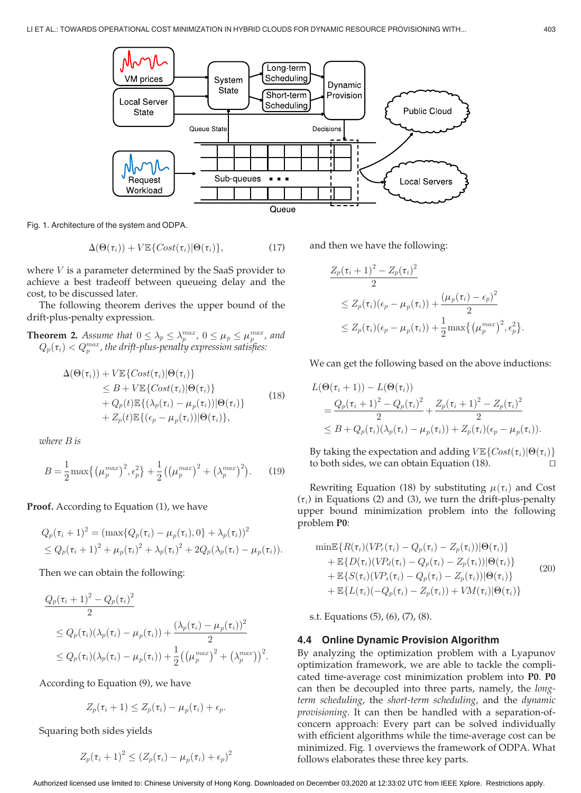

Fig. 1. Architecture of the system and ODPA.

$$
\Delta(\Theta(\tau_i)) + V \mathbb{E}\{Cost(\tau_i)|\Theta(\tau_i)\},\tag{17}
$$

where  $V$  is a parameter determined by the SaaS provider to achieve a best tradeoff between queueing delay and the cost, to be discussed later.

The following theorem derives the upper bound of the drift-plus-penalty expression.

**Theorem 2.** Assume that  $0 \leq \lambda_p \leq \lambda_p^{max}$ ,  $0 \leq \mu_p \leq \mu_p^{max}$ , and  $Q_p(\tau_i) < Q_p^{max}$ , the drift-plus-penalty expression satisfies:

$$
\Delta(\Theta(\tau_i)) + V \mathbb{E}\{Cost(\tau_i)|\Theta(\tau_i)\}\n\n\leq B + V \mathbb{E}\{Cost(\tau_i)|\Theta(\tau_i)\}\n\n+ Q_p(t) \mathbb{E}\{(\lambda_p(\tau_i) - \mu_p(\tau_i))|\Theta(\tau_i)\}\n\n+ Z_p(t) \mathbb{E}\{(\epsilon_p - \mu_p(\tau_i))|\Theta(\tau_i)\},
$$
\n(18)

where B is

$$
B = \frac{1}{2} \max\{ (\mu_p^{max})^2, \epsilon_p^2 \} + \frac{1}{2} ((\mu_p^{max})^2 + (\lambda_p^{max})^2).
$$
 (19)

#### Proof. According to Equation (1), we have

$$
Q_p(\tau_i + 1)^2 = (\max\{Q_p(\tau_i) - \mu_p(\tau_i), 0\} + \lambda_p(\tau_i))^2
$$
  
\$\leq Q\_p(\tau\_i + 1)^2 + \mu\_p(\tau\_i)^2 + \lambda\_p(\tau\_i)^2 + 2Q\_p(\lambda\_p(\tau\_i) - \mu\_p(\tau\_i)).

Then we can obtain the following:

$$
\begin{split} & \frac{Q_p(\tau_i+1)^2 - Q_p(\tau_i)^2}{2} \\ &\leq Q_p(\tau_i)(\lambda_p(\tau_i) - \mu_p(\tau_i)) + \frac{\left(\lambda_p(\tau_i) - \mu_p(\tau_i)\right)^2}{2} \\ &\leq Q_p(\tau_i)(\lambda_p(\tau_i) - \mu_p(\tau_i)) + \frac{1}{2}\left(\left(\mu_p^{max}\right)^2 + \left(\lambda_p^{max}\right)\right)^2. \end{split}
$$

According to Equation (9), we have

$$
Z_p(\tau_i+1) \leq Z_p(\tau_i) - \mu_p(\tau_i) + \epsilon_p.
$$

Squaring both sides yields

$$
Z_p(\tau_i+1)^2 \leq (Z_p(\tau_i) - \mu_p(\tau_i) + \epsilon_p)^2
$$

and then we have the following:

$$
\frac{Z_p(\tau_i+1)^2 - Z_p(\tau_i)^2}{2}
$$
\n
$$
\leq Z_p(\tau_i)(\epsilon_p - \mu_p(\tau_i)) + \frac{(\mu_p(\tau_i) - \epsilon_p)^2}{2}
$$
\n
$$
\leq Z_p(\tau_i)(\epsilon_p - \mu_p(\tau_i)) + \frac{1}{2} \max\{(\mu_p^{max})^2, \epsilon_p^2\}.
$$

We can get the following based on the above inductions:

$$
L(\Theta(\tau_i+1)) - L(\Theta(\tau_i))
$$
  
= 
$$
\frac{Q_p(\tau_i+1)^2 - Q_p(\tau_i)^2}{2} + \frac{Z_p(\tau_i+1)^2 - Z_p(\tau_i)^2}{2}
$$
  

$$
\leq B + Q_p(\tau_i)(\lambda_p(\tau_i) - \mu_p(\tau_i)) + Z_p(\tau_i)(\epsilon_p - \mu_p(\tau_i)).
$$

By taking the expectation and adding  $V \mathbb{E} \{ Cost(\tau_i) | \Theta(\tau_i) \}$ to both sides, we can obtain Equation (18).  $\Box$ 

Rewriting Equation (18) by substituting  $\mu(\tau_i)$  and Cost  $(\tau_i)$  in Equations (2) and (3), we turn the drift-plus-penalty upper bound minimization problem into the following problem P0:

$$
\min \mathbb{E} \{ R(\tau_i) (V P_r(\tau_i) - Q_p(\tau_i) - Z_p(\tau_i)) | \Theta(\tau_i) \}
$$
\n
$$
+ \mathbb{E} \{ D(\tau_i) (V P_d(\tau_i) - Q_p(\tau_i) - Z_p(\tau_i)) | \Theta(\tau_i) \}
$$
\n
$$
+ \mathbb{E} \{ S(\tau_i) (V P_s(\tau_i) - Q_p(\tau_i) - Z_p(\tau_i)) | \Theta(\tau_i) \}
$$
\n
$$
+ \mathbb{E} \{ L(\tau_i) (-Q_p(\tau_i) - Z_p(\tau_i)) + V M(\tau_i) | \Theta(\tau_i) \}
$$
\n(20)

s.t. Equations (5), (6), (7), (8).

#### 4.4 Online Dynamic Provision Algorithm

By analyzing the optimization problem with a Lyapunov optimization framework, we are able to tackle the complicated time-average cost minimization problem into P0. P0 can then be decoupled into three parts, namely, the longterm scheduling, the short-term scheduling, and the dynamic provisioning. It can then be handled with a separation-ofconcern approach: Every part can be solved individually with efficient algorithms while the time-average cost can be minimized. Fig. 1 overviews the framework of ODPA. What follows elaborates these three key parts.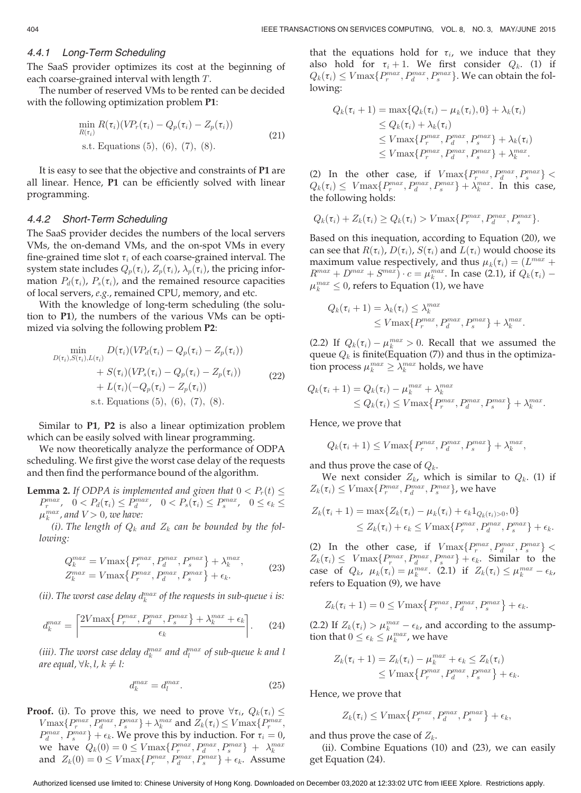# 4.4.1 Long-Term Scheduling

The SaaS provider optimizes its cost at the beginning of each coarse-grained interval with length T.

The number of reserved VMs to be rented can be decided with the following optimization problem P1:

$$
\min_{R(\tau_i)} R(\tau_i)(VP_r(\tau_i) - Q_p(\tau_i) - Z_p(\tau_i))
$$
\n
$$
\text{s.t. Equations (5), (6), (7), (8).} \tag{21}
$$

It is easy to see that the objective and constraints of P1 are all linear. Hence, P1 can be efficiently solved with linear programming.

# 4.4.2 Short-Term Scheduling

The SaaS provider decides the numbers of the local servers VMs, the on-demand VMs, and the on-spot VMs in every fine-grained time slot  $\tau_i$  of each coarse-grained interval. The system state includes  $Q_p(\tau_i)$ ,  $Z_p(\tau_i)$ ,  $\lambda_p(\tau_i)$ , the pricing information  $P_d(\tau_i)$ ,  $P_s(\tau_i)$ , and the remained resource capacities of local servers, e.g., remained CPU, memory, and etc.

With the knowledge of long-term scheduling (the solution to P1), the numbers of the various VMs can be optimized via solving the following problem P2:

$$
\min_{D(\tau_i), S(\tau_i), L(\tau_i)} D(\tau_i)(VP_d(\tau_i) - Q_p(\tau_i) - Z_p(\tau_i)) + S(\tau_i)(VP_s(\tau_i) - Q_p(\tau_i) - Z_p(\tau_i)) + L(\tau_i)(-Q_p(\tau_i) - Z_p(\tau_i)) \text{s.t. Equations (5), (6), (7), (8).
$$
 (22)

Similar to P1, P2 is also a linear optimization problem which can be easily solved with linear programming.

We now theoretically analyze the performance of ODPA scheduling. We first give the worst case delay of the requests and then find the performance bound of the algorithm.

**Lemma 2.** If ODPA is implemented and given that  $0 < P_r(t) \leq$  $P_r^{max}$ ,  $0 < P_d(\tau_i) \le P_d^{max}$ ,  $0 < P_s(\tau_i) \le P_s^{max}$ ,  $0 \le \epsilon_k \le$  $\mu_k^{max}$ , and  $V > 0$ , we have:

(i). The length of  $Q_k$  and  $Z_k$  can be bounded by the following:

$$
Q_k^{max} = V \max\{P_r^{max}, P_d^{max}, P_s^{max}\} + \lambda_k^{max},
$$
  
\n
$$
Z_k^{max} = V \max\{P_r^{max}, P_d^{max}, P_s^{max}\} + \epsilon_k.
$$
\n(23)

(ii). The worst case delay  $d_k^{max}$  of the requests in sub-queue  $i$  is:

$$
d_k^{max} = \left\lceil \frac{2V \max\{P_r^{max}, P_d^{max}, P_s^{max}\} + \lambda_k^{max} + \epsilon_k}{\epsilon_k} \right\rceil. \tag{24}
$$

(iii). The worst case delay  $d_k^{max}$  and  $d_l^{max}$  of sub-queue k and l are equal,  $\forall k, l, k \neq l$ :

$$
d_k^{max} = d_l^{max}.\tag{25}
$$

**Proof.** (i). To prove this, we need to prove  $\forall \tau_i$ ,  $Q_k(\tau_i) \leq$  $V$ max $\{P_r^{max}, P_d^{max}, P_s^{max}\} + \lambda_k^{max}$  and  $Z_k(\tau_i) \leq V$ max $\{P_r^{max}, P_s^{max}\}$  $P_d^{max}, P_s^{max}$  +  $\epsilon_k$ . We prove this by induction. For  $\tau_i = 0$ , we have  $Q_k(0) = 0 \leq V \max\{P_r^{max}, P_d^{max}, P_s^{max}\} + \lambda_k^{max}$ and  $Z_k(0) = 0 \leq V \max\{P_r^{max}, P_d^{max}, P_s^{max}\} + \epsilon_k$ . Assume

that the equations hold for  $\tau_i$ , we induce that they also hold for  $\tau_i + 1$ . We first consider  $Q_k$ . (1) if  $Q_k(\tau_i) \leq V \max\{P^{max}_r,P^{max}_d,P^{max}_s\}$ . We can obtain the following:

$$
Q_k(\tau_i + 1) = \max\{Q_k(\tau_i) - \mu_k(\tau_i), 0\} + \lambda_k(\tau_i)
$$
  
\n
$$
\leq Q_k(\tau_i) + \lambda_k(\tau_i)
$$
  
\n
$$
\leq V \max\{P_r^{max}, P_d^{max}, P_s^{max}\} + \lambda_k(\tau_i)
$$
  
\n
$$
\leq V \max\{P_r^{max}, P_d^{max}, P_s^{max}\} + \lambda_k^{max}.
$$

(2) In the other case, if  $V$ max $\{P_r^{max}, P_d^{max}, P_s^{max}\}$  <  $Q_k(\tau_i) \leq V \max\{P^{max}_r, P^{max}_d, P^{max}_s\} + \lambda_k^{max}$ . In this case, the following holds:

$$
Q_k(\tau_i)+Z_k(\tau_i)\geq Q_k(\tau_i)>V\max\{P_r^{max},P_d^{max},P_s^{max}\}.
$$

Based on this inequation, according to Equation (20), we can see that  $R(\tau_i)$ ,  $D(\tau_i)$ ,  $S(\tau_i)$  and  $L(\tau_i)$  would choose its maximum value respectively, and thus  $\mu_k(\tau_i) = (L^{max} +$  $R^{max} + D^{max} + S^{max}) \cdot c = \mu_k^{max}$ . In case (2.1), if  $Q_k(\tau_i)$  –  $\mu_k^{max} \leq 0$ , refers to Equation (1), we have

$$
Q_k(\tau_i + 1) = \lambda_k(\tau_i) \leq \lambda_k^{max}
$$
  
 
$$
\leq V \max\{P_r^{max}, P_d^{max}, P_s^{max}\} + \lambda_k^{max}.
$$

(2.2) If  $Q_k(\tau_i) - \mu_k^{max} > 0$ . Recall that we assumed the queue  $Q_k$  is finite(Equation (7)) and thus in the optimization process  $\mu_k^{max} \geq \lambda_k^{max}$  holds, we have

$$
Q_k(\tau_i + 1) = Q_k(\tau_i) - \mu_k^{max} + \lambda_k^{max}
$$
  
\n
$$
\leq Q_k(\tau_i) \leq V \max\{P_r^{max}, P_d^{max}, P_s^{max}\} + \lambda_k^{max}.
$$

Hence, we prove that

$$
Q_k(\tau_i+1) \leq V \max\{P_r^{max}, P_d^{max}, P_s^{max}\} + \lambda_k^{max},
$$

and thus prove the case of  $Q_k$ .

We next consider  $Z_k$ , which is similar to  $Q_k$ . (1) if  $Z_k(\tau_i) \leq V \text{max}\lbrace P_r^{max}, P_d^{max}, P_s^{max} \rbrace$ , we have

$$
Z_k(\tau_i + 1) = \max\{Z_k(\tau_i) - \mu_k(\tau_i) + \epsilon_k 1_{Q_k(\tau_i) > 0}, 0\}
$$
  
\$\leq Z\_k(\tau\_i) + \epsilon\_k \leq V \max\{P\_r^{max}, P\_d^{max}, P\_s^{max}\} + \epsilon\_k\$.

(2) In the other case, if  $V$ max $\{P_r^{max}, P_d^{max}, P_s^{max}\}$  <  $Z_k(\tau_i) \leq \text{Vmax}\lbrace P_r^{\text{max}}, P_d^{\text{max}}, P_s^{\text{max}} \rbrace + \epsilon_k$ . Similar to the case of  $Q_k$ ,  $\mu_k(\tau_i) = \mu_k^{max}$ . (2.1) if  $Z_k(\tau_i) \leq \mu_k^{max} - \epsilon_k$ , refers to Equation (9), we have

$$
Z_k(\tau_i+1) = 0 \le V \max\{P_r^{max}, P_d^{max}, P_s^{max}\} + \epsilon_k.
$$

(2.2) If  $Z_k(\tau_i) > \mu_k^{max} - \epsilon_k$ , and according to the assumption that  $0 \leq \epsilon_k \leq \mu_k^{max}$ , we have

$$
Z_k(\tau_i + 1) = Z_k(\tau_i) - \mu_k^{max} + \epsilon_k \le Z_k(\tau_i)
$$
  
\n
$$
\le V \max\{P_r^{max}, P_d^{max}, P_s^{max}\} + \epsilon_k.
$$

Hence, we prove that

$$
Z_k(\tau_i) \leq V \max\left\{P_r^{max}, P_d^{max}, P_s^{max}\right\} + \epsilon_k,
$$

and thus prove the case of  $Z_k$ .

(ii). Combine Equations (10) and (23), we can easily get Equation (24).

Authorized licensed use limited to: Chinese University of Hong Kong. Downloaded on December 03,2020 at 12:33:02 UTC from IEEE Xplore. Restrictions apply.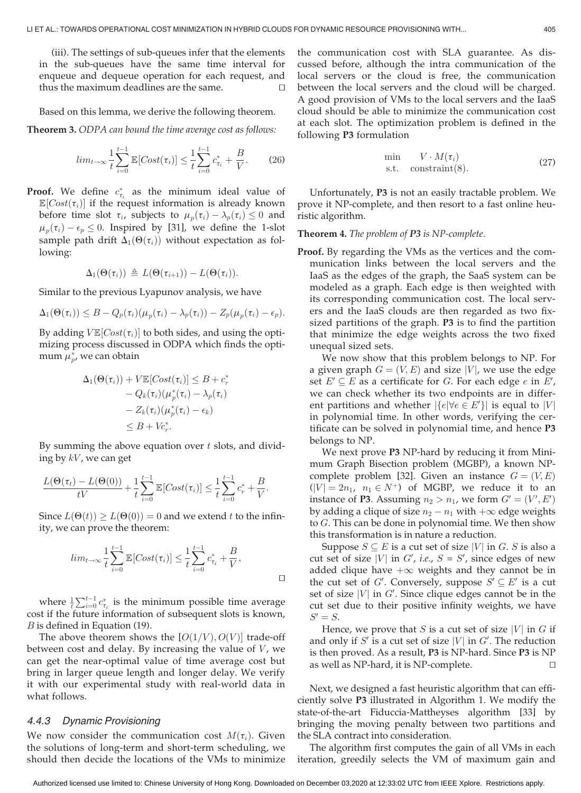(iii). The settings of sub-queues infer that the elements in the sub-queues have the same time interval for enqueue and dequeue operation for each request, and thus the maximum deadlines are the same.  $\Box$ 

Based on this lemma, we derive the following theorem.

Theorem 3. ODPA can bound the time average cost as follows:

$$
lim_{t \to \infty} \frac{1}{t} \sum_{i=0}^{t-1} \mathbb{E}[Cost(\tau_i)] \le \frac{1}{t} \sum_{i=0}^{t-1} c_{\tau_i}^* + \frac{B}{V}.
$$
 (26)

**Proof.** We define  $c_{\tau_i}^*$  as the minimum ideal value of  $\mathbb{E}[Cost(\tau_i)]$  if the request information is already known before time slot  $\tau_i$ , subjects to  $\mu_p(\tau_i) - \lambda_p(\tau_i) \leq 0$  and  $\mu_p(\tau_i) - \epsilon_p \leq 0$ . Inspired by [31], we define the 1-slot sample path drift  $\Delta_1(\Theta(\tau_i))$  without expectation as following:

$$
\Delta_1(\Theta(\tau_i)) \triangleq L(\Theta(\tau_{i+1})) - L(\Theta(\tau_i)).
$$

Similar to the previous Lyapunov analysis, we have

$$
\Delta_1(\Theta(\tau_i)) \leq B - Q_p(\tau_i)(\mu_p(\tau_i) - \lambda_p(\tau_i)) - Z_p(\mu_p(\tau_i) - \epsilon_p).
$$

By adding  $V \mathbb{E}[Cost(\tau_i)]$  to both sides, and using the optimizing process discussed in ODPA which finds the optimum  $\mu_{p'}^*$  we can obtain

$$
\Delta_1(\Theta(\tau_i)) + V \mathbb{E}[Cost(\tau_i)] \leq B + c_r^* \n- Q_k(\tau_i) (\mu_p^*(\tau_i) - \lambda_p(\tau_i) \n- Z_k(\tau_i) (\mu_p^*(\tau_i) - \epsilon_k) \n\leq B + Vc_r^*.
$$

By summing the above equation over  $t$  slots, and dividing by  $kV$ , we can get

$$
\frac{L(\Theta(\tau_t) - L(\Theta(0)))}{tV} + \frac{1}{t} \sum_{i=0}^{t-1} \mathbb{E}[Cost(\tau_i)] \leq \frac{1}{t} \sum_{i=0}^{t-1} c_r^* + \frac{B}{V}.
$$

Since  $L(\Theta(t)) \ge L(\Theta(0)) = 0$  and we extend t to the infinity, we can prove the theorem:

$$
lim_{t\to\infty}\frac{1}{t}\sum_{i=0}^{t-1}\mathbb{E}[Cost(\tau_i)] \leq \frac{1}{t}\sum_{i=0}^{t-1}c_{\tau_i}^* + \frac{B}{V},
$$

where  $\frac{1}{t} \sum_{i=0}^{t-1} c_{\tau_i}^*$  is the minimum possible time average cost if the future information of subsequent slots is known, B is defined in Equation (19).

The above theorem shows the  $[O(1/V), O(V)]$  trade-off between cost and delay. By increasing the value of  $V$ , we can get the near-optimal value of time average cost but bring in larger queue length and longer delay. We verify it with our experimental study with real-world data in what follows.

#### 4.4.3 Dynamic Provisioning

We now consider the communication cost  $M(\tau_i)$ . Given the solutions of long-term and short-term scheduling, we should then decide the locations of the VMs to minimize

the communication cost with SLA guarantee. As discussed before, although the intra communication of the local servers or the cloud is free, the communication between the local servers and the cloud will be charged. A good provision of VMs to the local servers and the IaaS cloud should be able to minimize the communication cost at each slot. The optimization problem is defined in the following P3 formulation

$$
\min_{\text{st.}} \quad V \cdot M(\tau_i) \n\text{s.t.} \quad \text{constraint}(8). \tag{27}
$$

Unfortunately, P3 is not an easily tractable problem. We prove it NP-complete, and then resort to a fast online heuristic algorithm.

#### Theorem 4. The problem of P3 is NP-complete.

Proof. By regarding the VMs as the vertices and the communication links between the local servers and the IaaS as the edges of the graph, the SaaS system can be modeled as a graph. Each edge is then weighted with its corresponding communication cost. The local servers and the IaaS clouds are then regarded as two fixsized partitions of the graph. P3 is to find the partition that minimize the edge weights across the two fixed unequal sized sets.

We now show that this problem belongs to NP. For a given graph  $G = (V, E)$  and size  $|V|$ , we use the edge set  $E' \subseteq E$  as a certificate for G. For each edge e in  $E'$ , we can check whether its two endpoints are in different partitions and whether  $|\{e|\forall e \in E'\}|$  is equal to  $|V|$ in polynomial time. In other words, verifying the certificate can be solved in polynomial time, and hence P3 belongs to NP.

We next prove P3 NP-hard by reducing it from Minimum Graph Bisection problem (MGBP), a known NPcomplete problem [32]. Given an instance  $G = (V, E)$  $(|V| = 2n_1$ ,  $n_1 \in N^+$ ) of MGBP, we reduce it to an instance of **P3**. Assuming  $n_2 > n_1$ , we form  $G' = (V', E')$ by adding a clique of size  $n_2 - n_1$  with  $+\infty$  edge weights to G. This can be done in polynomial time. We then show this transformation is in nature a reduction.

Suppose  $S \subseteq E$  is a cut set of size |V| in G. S is also a cut set of size |V| in  $G'$ , i.e.,  $S = S'$ , since edges of new added clique have  $+\infty$  weights and they cannot be in the cut set of G'. Conversely, suppose  $S' \subseteq E'$  is a cut set of size  $|V|$  in  $G'$ . Since clique edges cannot be in the cut set due to their positive infinity weights, we have  $S' = S$ .

Hence, we prove that S is a cut set of size |V| in G if and only if  $S'$  is a cut set of size  $|V|$  in  $G'$ . The reduction is then proved. As a result, P3 is NP-hard. Since P3 is NP as well as NP-hard, it is NP-complete.  $\Box$ 

Next, we designed a fast heuristic algorithm that can efficiently solve P3 illustrated in Algorithm 1. We modify the state-of-the-art Fiduccia-Mattheyses algorithm [33] by bringing the moving penalty between two partitions and the SLA contract into consideration.

The algorithm first computes the gain of all VMs in each iteration, greedily selects the VM of maximum gain and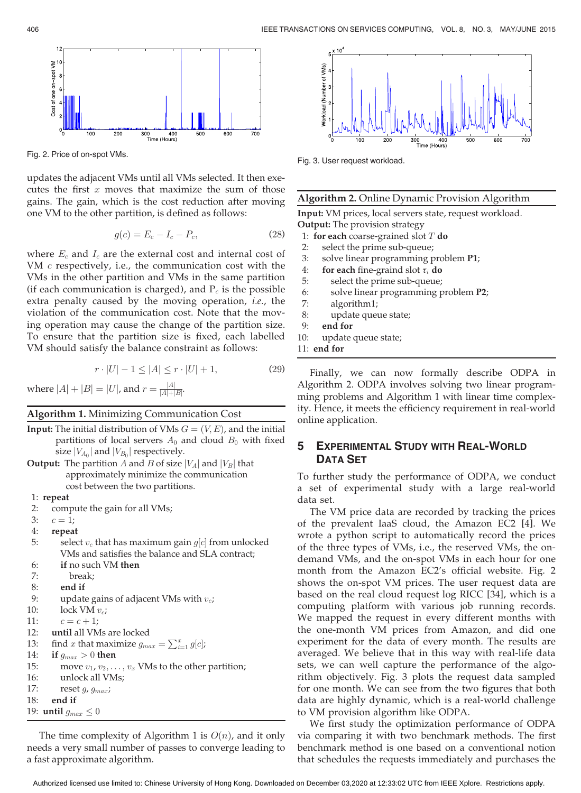

updates the adjacent VMs until all VMs selected. It then executes the first  $x$  moves that maximize the sum of those gains. The gain, which is the cost reduction after moving one VM to the other partition, is defined as follows:

$$
g(c) = E_c - I_c - P_c,\tag{28}
$$

where  $E_c$  and  $I_c$  are the external cost and internal cost of VM  $c$  respectively, i.e., the communication cost with the VMs in the other partition and VMs in the same partition (if each communication is charged), and  $P_c$  is the possible extra penalty caused by the moving operation, i.e., the violation of the communication cost. Note that the moving operation may cause the change of the partition size. To ensure that the partition size is fixed, each labelled VM should satisfy the balance constraint as follows:

$$
r \cdot |U| - 1 \le |A| \le r \cdot |U| + 1,\tag{29}
$$

where  $|A| + |B| = |U|$ , and  $r = \frac{|A|}{|A| + |B|}$ .

#### Algorithm 1. Minimizing Communication Cost

| ັບ<br>$\overline{\phantom{0}}$                                               |
|------------------------------------------------------------------------------|
| <b>Input:</b> The initial distribution of VMs $G = (V, E)$ , and the initial |
| partitions of local servers $A_0$ and cloud $B_0$ with fixed                 |
| size $ V_{A_0} $ and $ V_{B_0} $ respectively.                               |
| <b>Output:</b> The partition A and B of size $ V_A $ and $ V_B $ that        |
| approximately minimize the communication                                     |
| cost between the two partitions.                                             |
| $1:$ repeat                                                                  |
| 2:<br>compute the gain for all VMs;                                          |
| 3:<br>$c=1$ ;                                                                |
| 4:<br>repeat                                                                 |
| 5:<br>select $v_c$ that has maximum gain $g c $ from unlocked                |
| VMs and satisfies the balance and SLA contract;                              |
| 6:<br>if no such VM then                                                     |
| 7:<br>break:                                                                 |
| 8:<br>end if                                                                 |
| 9:<br>update gains of adjacent VMs with $v_c$ ;                              |
| 10:<br>lock VM $v_c$ ;                                                       |
| 11:<br>$c = c + 1;$                                                          |
| 12:<br>until all VMs are locked                                              |
| find <i>x</i> that maximize $g_{max} = \sum_{i=1}^{x} g[c]$ ;<br>13:         |
| 14:<br>if $g_{max} > 0$ then                                                 |
| 15:<br>move $v_1, v_2, \ldots, v_x$ VMs to the other partition;              |
| 16:<br>unlock all VMs;                                                       |
| 17:<br>reset $g$ , $g_{max}$ ;                                               |
| 18:<br>end if                                                                |
| 19: until $g_{max} \leq 0$                                                   |
|                                                                              |

The time complexity of Algorithm 1 is  $O(n)$ , and it only needs a very small number of passes to converge leading to a fast approximate algorithm.



Fig. 2. Price of on-spot VMs. The state of the state of the state of the state of the Fig. 3. User request workload.

| Algorithm 2. Online Dynamic Provision Algorithm |  |  |  |  |
|-------------------------------------------------|--|--|--|--|
|-------------------------------------------------|--|--|--|--|

Input: VM prices, local servers state, request workload. Output: The provision strategy

- 1: for each coarse-grained slot  $T$  do
- 2: select the prime sub-queue;
- 3: solve linear programming problem P1;
- 4: for each fine-graind slot  $\tau_i$  do
- 5: select the prime sub-queue;
- 6: solve linear programming problem P2;
- 7: algorithm1;<br>8: update quer
- 8: update queue state;<br>9: **end for**
- end for
- 10: update queue state;

```
11: end for
```
Finally, we can now formally describe ODPA in Algorithm 2. ODPA involves solving two linear programming problems and Algorithm 1 with linear time complexity. Hence, it meets the efficiency requirement in real-world online application.

# 5 EXPERIMENTAL STUDY WITH REAL-WORLD DATA SET

To further study the performance of ODPA, we conduct a set of experimental study with a large real-world data set.

The VM price data are recorded by tracking the prices of the prevalent IaaS cloud, the Amazon EC2 [4]. We wrote a python script to automatically record the prices of the three types of VMs, i.e., the reserved VMs, the ondemand VMs, and the on-spot VMs in each hour for one month from the Amazon EC2's official website. Fig. 2 shows the on-spot VM prices. The user request data are based on the real cloud request log RICC [34], which is a computing platform with various job running records. We mapped the request in every different months with the one-month VM prices from Amazon, and did one experiment for the data of every month. The results are averaged. We believe that in this way with real-life data sets, we can well capture the performance of the algorithm objectively. Fig. 3 plots the request data sampled for one month. We can see from the two figures that both data are highly dynamic, which is a real-world challenge to VM provision algorithm like ODPA.

We first study the optimization performance of ODPA via comparing it with two benchmark methods. The first benchmark method is one based on a conventional notion that schedules the requests immediately and purchases the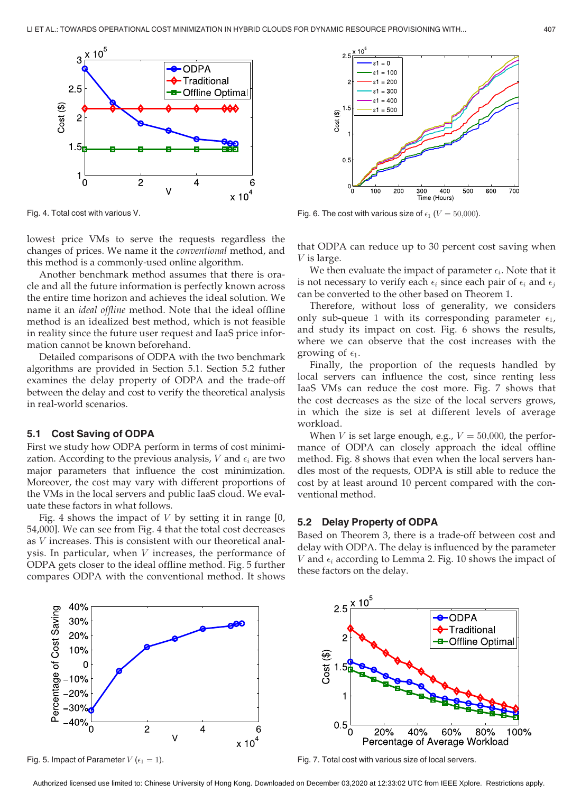



lowest price VMs to serve the requests regardless the changes of prices. We name it the conventional method, and this method is a commonly-used online algorithm.

Another benchmark method assumes that there is oracle and all the future information is perfectly known across the entire time horizon and achieves the ideal solution. We name it an ideal offline method. Note that the ideal offline method is an idealized best method, which is not feasible in reality since the future user request and IaaS price information cannot be known beforehand.

Detailed comparisons of ODPA with the two benchmark algorithms are provided in Section 5.1. Section 5.2 futher examines the delay property of ODPA and the trade-off between the delay and cost to verify the theoretical analysis in real-world scenarios.

# 5.1 Cost Saving of ODPA

First we study how ODPA perform in terms of cost minimization. According to the previous analysis, V and  $\epsilon_i$  are two major parameters that influence the cost minimization. Moreover, the cost may vary with different proportions of the VMs in the local servers and public IaaS cloud. We evaluate these factors in what follows.

Fig. 4 shows the impact of  $V$  by setting it in range  $[0, 1]$ 54,000]. We can see from Fig. 4 that the total cost decreases as V increases. This is consistent with our theoretical analysis. In particular, when V increases, the performance of ODPA gets closer to the ideal offline method. Fig. 5 further compares ODPA with the conventional method. It shows



Fig. 4. Total cost with various V. Fig. 6. The cost with various size of  $\epsilon_1$  ( $V = 50,000$ ).

that ODPA can reduce up to 30 percent cost saving when V is large.

We then evaluate the impact of parameter  $\epsilon_i$ . Note that it is not necessary to verify each  $\epsilon_i$  since each pair of  $\epsilon_i$  and  $\epsilon_i$ can be converted to the other based on Theorem 1.

Therefore, without loss of generality, we considers only sub-queue 1 with its corresponding parameter  $\epsilon_1$ , and study its impact on cost. Fig. 6 shows the results, where we can observe that the cost increases with the growing of  $\epsilon_1$ .

Finally, the proportion of the requests handled by local servers can influence the cost, since renting less IaaS VMs can reduce the cost more. Fig. 7 shows that the cost decreases as the size of the local servers grows, in which the size is set at different levels of average workload.

When *V* is set large enough, e.g.,  $V = 50,000$ , the performance of ODPA can closely approach the ideal offline method. Fig. 8 shows that even when the local servers handles most of the requests, ODPA is still able to reduce the cost by at least around 10 percent compared with the conventional method.

### 5.2 Delay Property of ODPA

Based on Theorem 3, there is a trade-off between cost and delay with ODPA. The delay is influenced by the parameter V and  $\epsilon_i$  according to Lemma 2. Fig. 10 shows the impact of these factors on the delay.



Fig. 5. Impact of Parameter  $V$  ( $\epsilon_1 = 1$ ). Fig. 7. Total cost with various size of local servers.

Authorized licensed use limited to: Chinese University of Hong Kong. Downloaded on December 03,2020 at 12:33:02 UTC from IEEE Xplore. Restrictions apply.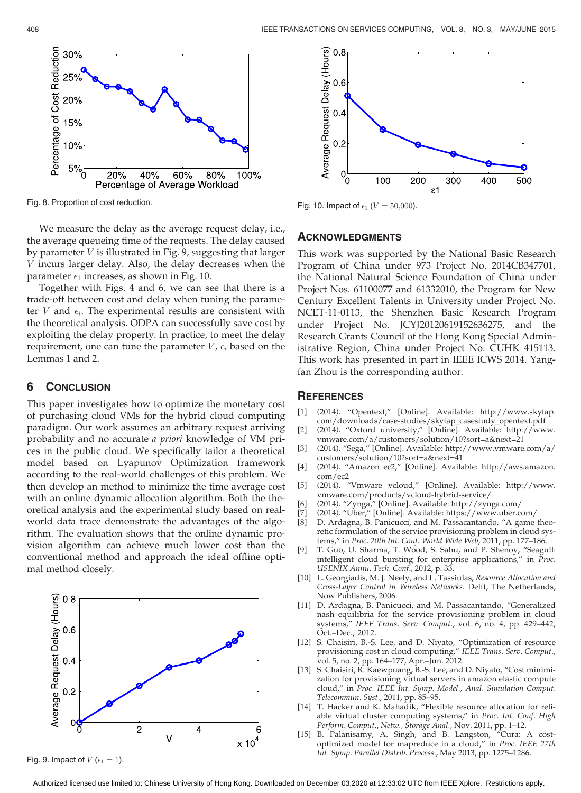

Fig. 8. Proportion of cost reduction.

We measure the delay as the average request delay, i.e., the average queueing time of the requests. The delay caused by parameter  $V$  is illustrated in Fig. 9, suggesting that larger  $V$  incurs larger delay. Also, the delay decreases when the parameter  $\epsilon_1$  increases, as shown in Fig. 10.

Together with Figs. 4 and 6, we can see that there is a trade-off between cost and delay when tuning the parameter V and  $\epsilon_i$ . The experimental results are consistent with the theoretical analysis. ODPA can successfully save cost by exploiting the delay property. In practice, to meet the delay requirement, one can tune the parameter  $V$ ,  $\epsilon_i$  based on the Lemmas 1 and 2.

# 6 CONCLUSION

This paper investigates how to optimize the monetary cost of purchasing cloud VMs for the hybrid cloud computing paradigm. Our work assumes an arbitrary request arriving probability and no accurate a priori knowledge of VM prices in the public cloud. We specifically tailor a theoretical model based on Lyapunov Optimization framework according to the real-world challenges of this problem. We then develop an method to minimize the time average cost with an online dynamic allocation algorithm. Both the theoretical analysis and the experimental study based on realworld data trace demonstrate the advantages of the algorithm. The evaluation shows that the online dynamic provision algorithm can achieve much lower cost than the conventional method and approach the ideal offline optimal method closely.







Fig. 10. Impact of  $\epsilon_1$  (V = 50,000).

# ACKNOWLEDGMENTS

This work was supported by the National Basic Research Program of China under 973 Project No. 2014CB347701, the National Natural Science Foundation of China under Project Nos. 61100077 and 61332010, the Program for New Century Excellent Talents in University under Project No. NCET-11-0113, the Shenzhen Basic Research Program under Project No. JCYJ20120619152636275, and the Research Grants Council of the Hong Kong Special Administrative Region, China under Project No. CUHK 415113. This work has presented in part in IEEE ICWS 2014. Yangfan Zhou is the corresponding author.

# **REFERENCES**

- [1] (2014). "Opentext," [Online]. Available: http://www.skytap. com/downloads/case-studies/skytap\_casestudy\_opentext.pdf
- [2] (2014). "Oxford university," [Online]. Available: http://www. vmware.com/a/customers/solution/10?sort=a&next=21
- [3] (2014). "Sega," [Online]. Available: http://www.vmware.com/a/ customers/solution/10?sort=a&next=41
- [4] (2014). "Amazon ec2," [Online]. Available: http://aws.amazon. com/ec2
- [5] (2014). "Vmware vcloud," [Online]. Available: http://www. vmware.com/products/vcloud-hybrid-service/
- [6] (2014). "Zynga," [Online]. Available: http://zynga.com/
- [7] (2014). "Uber," [Online]. Available: https://www.uber.com/
- [8] D. Ardagna, B. Panicucci, and M. Passacantando, "A game theoretic formulation of the service provisioning problem in cloud systems," in Proc. 20th Int. Conf. World Wide Web, 2011, pp. 177-186.
- [9] T. Guo, U. Sharma, T. Wood, S. Sahu, and P. Shenoy, "Seagull: intelligent cloud bursting for enterprise applications," in Proc. USENIX Annu. Tech. Conf., 2012, p. 33.
- [10] L. Georgiadis, M. J. Neely, and L. Tassiulas, Resource Allocation and Cross-Layer Control in Wireless Networks. Delft, The Netherlands, Now Publishers, 2006.
- [11] D. Ardagna, B. Panicucci, and M. Passacantando, "Generalized nash equilibria for the service provisioning problem in cloud systems," IEEE Trans. Serv. Comput., vol. 6, no. 4, pp. 429–442, Oct.–Dec., 2012.
- [12] S. Chaisiri, B.-S. Lee, and D. Niyato, "Optimization of resource provisioning cost in cloud computing," IEEE Trans. Serv. Comput., vol. 5, no. 2, pp. 164–177, Apr.–Jun. 2012.
- [13] S. Chaisiri, R. Kaewpuang, B.-S. Lee, and D. Niyato, "Cost minimization for provisioning virtual servers in amazon elastic compute cloud," in Proc. IEEE Int. Symp. Model., Anal. Simulation Comput. Telecommun. Syst., 2011, pp. 85–95.
- [14] T. Hacker and K. Mahadik, "Flexible resource allocation for reliable virtual cluster computing systems," in Proc. Int. Conf. High Perform. Comput., Netw., Storage Anal., Nov. 2011, pp. 1–12.
- [15] B. Palanisamy, A. Singh, and B. Langston, "Cura: A costoptimized model for mapreduce in a cloud," in Proc. IEEE 27th Int. Symp. Parallel Distrib. Process., May 2013, pp. 1275–1286.